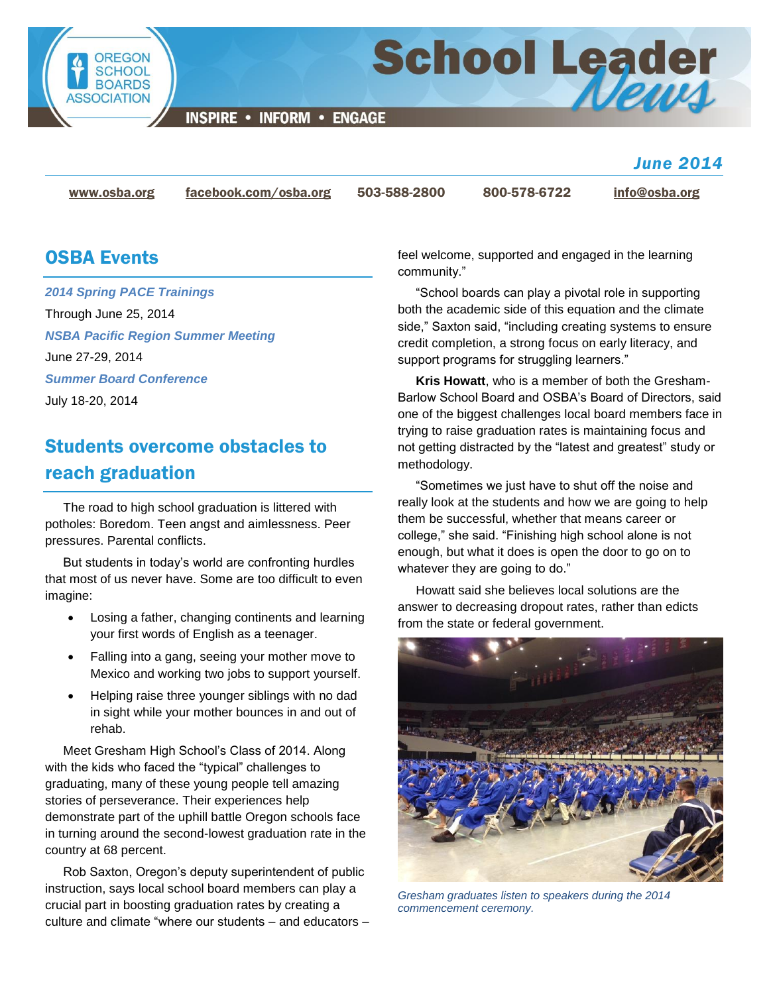

**INSPIRE • INFORM • ENGAGE** 

[www.osba.org](http://www.osba.org/) [facebook.com/osba.org](http://www.facebook.com/osba.org) 503-588-2800 800-578-6722 [info@osba.org](mailto:info@osba.org)

*June 2014*

### OSBA Events

*[2014 Spring PACE Trainings](http://www.osba.org/Calendar/Events/Spring_PACE_trainings_2014.aspx)* Through June 25, 2014 *[NSBA Pacific Region Summer Meeting](http://www.osba.org/Calendar/Events/NSBA_Pacific_Region_Summer_Meeting-June%202014.aspx)* June 27-29, 2014 *[Summer Board Conference](http://www.osba.org/Calendar/Events/Summer_board_conference-2014.aspx)* July 18-20, 2014

# Students overcome obstacles to reach graduation

The road to high school graduation is littered with potholes: Boredom. Teen angst and aimlessness. Peer pressures. Parental conflicts.

But students in today's world are confronting hurdles that most of us never have. Some are too difficult to even imagine:

- Losing a father, changing continents and learning your first words of English as a teenager.
- Falling into a gang, seeing your mother move to Mexico and working two jobs to support yourself.
- Helping raise three younger siblings with no dad in sight while your mother bounces in and out of rehab.

Meet Gresham High School's Class of 2014. Along with the kids who faced the "typical" challenges to graduating, many of these young people tell amazing stories of perseverance. Their experiences help demonstrate part of the uphill battle Oregon schools face in turning around the second-lowest graduation rate in the country at 68 percent.

Rob Saxton, Oregon's deputy superintendent of public instruction, says local school board members can play a crucial part in boosting graduation rates by creating a culture and climate "where our students – and educators – feel welcome, supported and engaged in the learning community."

School Leader

"School boards can play a pivotal role in supporting both the academic side of this equation and the climate side," Saxton said, "including creating systems to ensure credit completion, a strong focus on early literacy, and support programs for struggling learners."

**Kris Howatt**, who is a member of both the Gresham-Barlow School Board and OSBA's Board of Directors, said one of the biggest challenges local board members face in trying to raise graduation rates is maintaining focus and not getting distracted by the "latest and greatest" study or methodology.

"Sometimes we just have to shut off the noise and really look at the students and how we are going to help them be successful, whether that means career or college," she said. "Finishing high school alone is not enough, but what it does is open the door to go on to whatever they are going to do."

Howatt said she believes local solutions are the answer to decreasing dropout rates, rather than edicts from the state or federal government.



*Gresham graduates listen to speakers during the 2014 commencement ceremony.*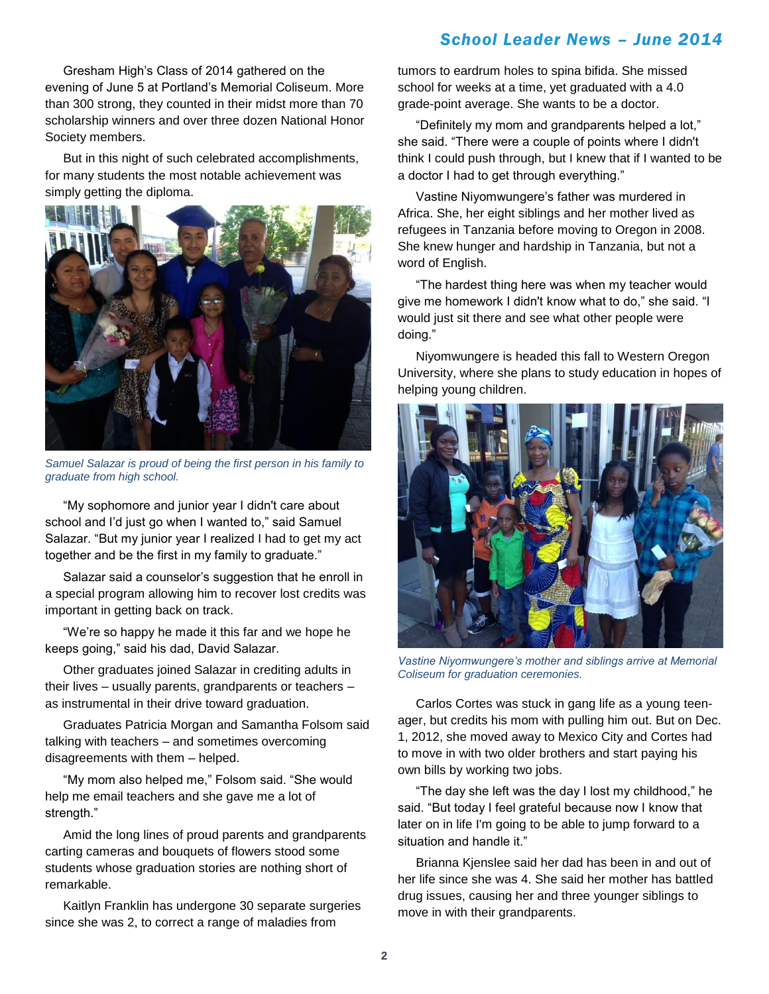Gresham High's Class of 2014 gathered on the evening of June 5 at Portland's Memorial Coliseum. More than 300 strong, they counted in their midst more than 70 scholarship winners and over three dozen National Honor Society members.

But in this night of such celebrated accomplishments, for many students the most notable achievement was simply getting the diploma.



*Samuel Salazar is proud of being the first person in his family to graduate from high school.*

"My sophomore and junior year I didn't care about school and I'd just go when I wanted to," said Samuel Salazar. "But my junior year I realized I had to get my act together and be the first in my family to graduate."

Salazar said a counselor's suggestion that he enroll in a special program allowing him to recover lost credits was important in getting back on track.

"We're so happy he made it this far and we hope he keeps going," said his dad, David Salazar.

Other graduates joined Salazar in crediting adults in their lives – usually parents, grandparents or teachers – as instrumental in their drive toward graduation.

Graduates Patricia Morgan and Samantha Folsom said talking with teachers – and sometimes overcoming disagreements with them – helped.

"My mom also helped me," Folsom said. "She would help me email teachers and she gave me a lot of strength."

Amid the long lines of proud parents and grandparents carting cameras and bouquets of flowers stood some students whose graduation stories are nothing short of remarkable.

Kaitlyn Franklin has undergone 30 separate surgeries since she was 2, to correct a range of maladies from

tumors to eardrum holes to spina bifida. She missed school for weeks at a time, yet graduated with a 4.0 grade-point average. She wants to be a doctor.

"Definitely my mom and grandparents helped a lot," she said. "There were a couple of points where I didn't think I could push through, but I knew that if I wanted to be a doctor I had to get through everything."

Vastine Niyomwungere's father was murdered in Africa. She, her eight siblings and her mother lived as refugees in Tanzania before moving to Oregon in 2008. She knew hunger and hardship in Tanzania, but not a word of English.

"The hardest thing here was when my teacher would give me homework I didn't know what to do," she said. "I would just sit there and see what other people were doing."

Niyomwungere is headed this fall to Western Oregon University, where she plans to study education in hopes of helping young children.



*Vastine Niyomwungere's mother and siblings arrive at Memorial Coliseum for graduation ceremonies.*

Carlos Cortes was stuck in gang life as a young teenager, but credits his mom with pulling him out. But on Dec. 1, 2012, she moved away to Mexico City and Cortes had to move in with two older brothers and start paying his own bills by working two jobs.

"The day she left was the day I lost my childhood," he said. "But today I feel grateful because now I know that later on in life I'm going to be able to jump forward to a situation and handle it."

Brianna Kjenslee said her dad has been in and out of her life since she was 4. She said her mother has battled drug issues, causing her and three younger siblings to move in with their grandparents.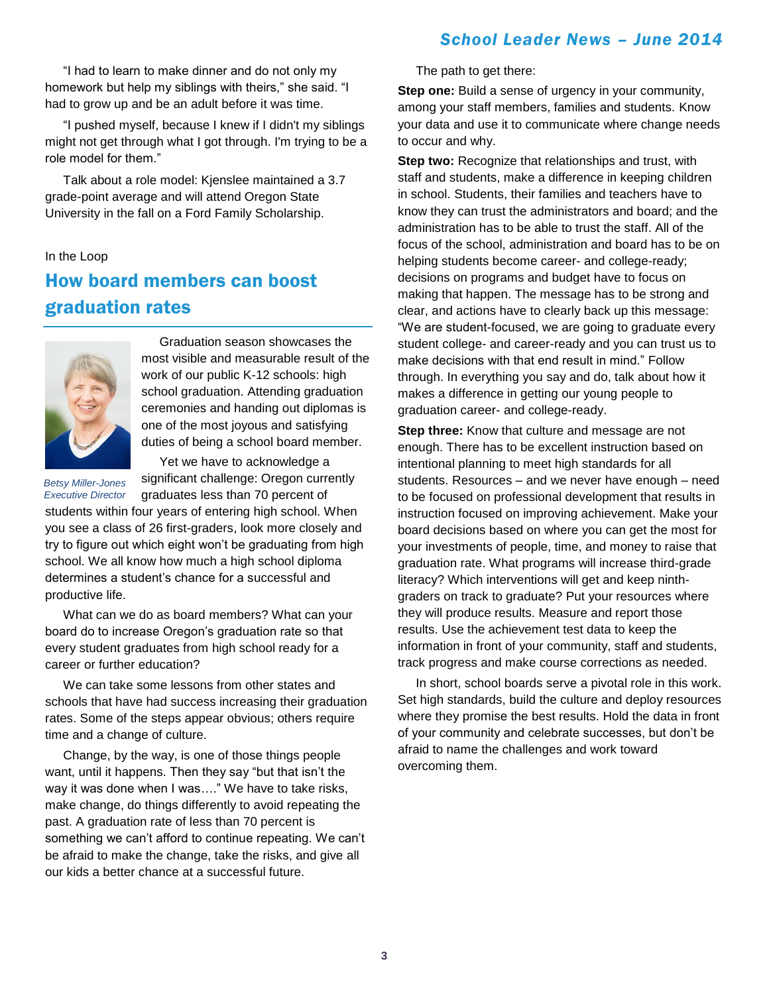"I had to learn to make dinner and do not only my homework but help my siblings with theirs," she said. "I had to grow up and be an adult before it was time.

"I pushed myself, because I knew if I didn't my siblings might not get through what I got through. I'm trying to be a role model for them."

Talk about a role model: Kjenslee maintained a 3.7 grade-point average and will attend Oregon State University in the fall on a Ford Family Scholarship.

#### In the Loop

# How board members can boost graduation rates



Graduation season showcases the most visible and measurable result of the work of our public K-12 schools: high school graduation. Attending graduation ceremonies and handing out diplomas is one of the most joyous and satisfying duties of being a school board member.

*Betsy Miller-Jones*

Yet we have to acknowledge a

significant challenge: Oregon currently graduates less than 70 percent of students within four years of entering high school. When you see a class of 26 first-graders, look more closely and try to figure out which eight won't be graduating from high school. We all know how much a high school diploma determines a student's chance for a successful and productive life. *Executive Director*

What can we do as board members? What can your board do to increase Oregon's graduation rate so that every student graduates from high school ready for a career or further education?

We can take some lessons from other states and schools that have had success increasing their graduation rates. Some of the steps appear obvious; others require time and a change of culture.

Change, by the way, is one of those things people want, until it happens. Then they say "but that isn't the way it was done when I was…." We have to take risks, make change, do things differently to avoid repeating the past. A graduation rate of less than 70 percent is something we can't afford to continue repeating. We can't be afraid to make the change, take the risks, and give all our kids a better chance at a successful future.

The path to get there:

**Step one:** Build a sense of urgency in your community, among your staff members, families and students. Know your data and use it to communicate where change needs to occur and why.

**Step two:** Recognize that relationships and trust, with staff and students, make a difference in keeping children in school. Students, their families and teachers have to know they can trust the administrators and board; and the administration has to be able to trust the staff. All of the focus of the school, administration and board has to be on helping students become career- and college-ready; decisions on programs and budget have to focus on making that happen. The message has to be strong and clear, and actions have to clearly back up this message: "We are student-focused, we are going to graduate every student college- and career-ready and you can trust us to make decisions with that end result in mind." Follow through. In everything you say and do, talk about how it makes a difference in getting our young people to graduation career- and college-ready.

**Step three:** Know that culture and message are not enough. There has to be excellent instruction based on intentional planning to meet high standards for all students. Resources – and we never have enough – need to be focused on professional development that results in instruction focused on improving achievement. Make your board decisions based on where you can get the most for your investments of people, time, and money to raise that graduation rate. What programs will increase third-grade literacy? Which interventions will get and keep ninthgraders on track to graduate? Put your resources where they will produce results. Measure and report those results. Use the achievement test data to keep the information in front of your community, staff and students, track progress and make course corrections as needed.

In short, school boards serve a pivotal role in this work. Set high standards, build the culture and deploy resources where they promise the best results. Hold the data in front of your community and celebrate successes, but don't be afraid to name the challenges and work toward overcoming them.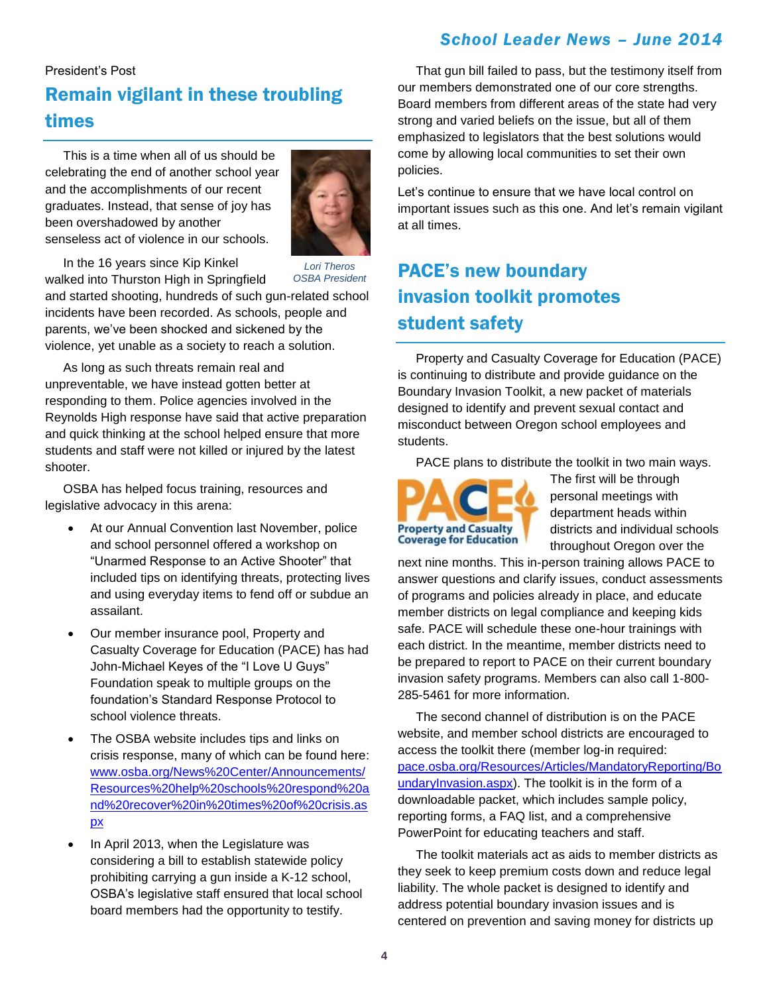#### President's Post

## Remain vigilant in these troubling times

This is a time when all of us should be celebrating the end of another school year and the accomplishments of our recent graduates. Instead, that sense of joy has been overshadowed by another senseless act of violence in our schools.



In the 16 years since Kip Kinkel walked into Thurston High in Springfield

*Lori Theros OSBA President*

and started shooting, hundreds of such gun-related school incidents have been recorded. As schools, people and parents, we've been shocked and sickened by the violence, yet unable as a society to reach a solution.

As long as such threats remain real and unpreventable, we have instead gotten better at responding to them. Police agencies involved in the Reynolds High response have said that active preparation and quick thinking at the school helped ensure that more students and staff were not killed or injured by the latest shooter.

OSBA has helped focus training, resources and legislative advocacy in this arena:

- At our Annual Convention last November, police and school personnel offered a workshop on "Unarmed Response to an Active Shooter" that included tips on identifying threats, protecting lives and using everyday items to fend off or subdue an assailant.
- Our member insurance pool, Property and Casualty Coverage for Education (PACE) has had John-Michael Keyes of the "I Love U Guys" Foundation speak to multiple groups on the foundation's Standard Response Protocol to school violence threats.
- The OSBA website includes tips and links on crisis response, many of which can be found here: [www.osba.org/News%20Center/Announcements/](http://www.osba.org/News%20Center/Announcements/Resources%20help%20schools%20respond%20and%20recover%20in%20times%20of%20crisis.aspx) [Resources%20help%20schools%20respond%20a](http://www.osba.org/News%20Center/Announcements/Resources%20help%20schools%20respond%20and%20recover%20in%20times%20of%20crisis.aspx) [nd%20recover%20in%20times%20of%20crisis.as](http://www.osba.org/News%20Center/Announcements/Resources%20help%20schools%20respond%20and%20recover%20in%20times%20of%20crisis.aspx) [px](http://www.osba.org/News%20Center/Announcements/Resources%20help%20schools%20respond%20and%20recover%20in%20times%20of%20crisis.aspx)
- In April 2013, when the Legislature was considering a bill to establish statewide policy prohibiting carrying a gun inside a K-12 school, OSBA's legislative staff ensured that local school board members had the opportunity to testify.

That gun bill failed to pass, but the testimony itself from our members demonstrated one of our core strengths. Board members from different areas of the state had very strong and varied beliefs on the issue, but all of them emphasized to legislators that the best solutions would come by allowing local communities to set their own policies.

Let's continue to ensure that we have local control on important issues such as this one. And let's remain vigilant at all times.

# PACE's new boundary invasion toolkit promotes student safety

Property and Casualty Coverage for Education (PACE) is continuing to distribute and provide guidance on the Boundary Invasion Toolkit, a new packet of materials designed to identify and prevent sexual contact and misconduct between Oregon school employees and students.

PACE plans to distribute the toolkit in two main ways.



The first will be through personal meetings with department heads within districts and individual schools throughout Oregon over the

next nine months. This in-person training allows PACE to answer questions and clarify issues, conduct assessments of programs and policies already in place, and educate member districts on legal compliance and keeping kids safe. PACE will schedule these one-hour trainings with each district. In the meantime, member districts need to be prepared to report to PACE on their current boundary invasion safety programs. Members can also call 1-800- 285-5461 for more information.

The second channel of distribution is on the PACE website, and member school districts are encouraged to access the toolkit there (member log-in required: [pace.osba.org/Resources/Articles/MandatoryReporting/Bo](http://pace.osba.org/Resources/Articles/MandatoryReporting/BoundaryInvasion.aspx) [undaryInvasion.aspx\)](http://pace.osba.org/Resources/Articles/MandatoryReporting/BoundaryInvasion.aspx). The toolkit is in the form of a downloadable packet, which includes sample policy, reporting forms, a FAQ list, and a comprehensive PowerPoint for educating teachers and staff.

The toolkit materials act as aids to member districts as they seek to keep premium costs down and reduce legal liability. The whole packet is designed to identify and address potential boundary invasion issues and is centered on prevention and saving money for districts up